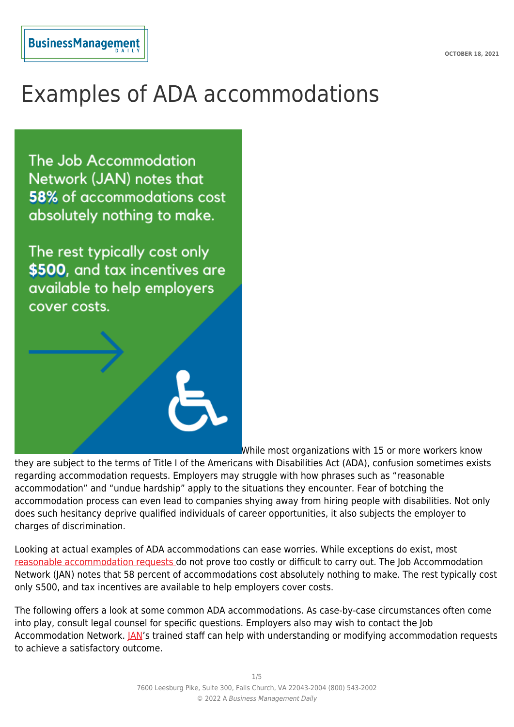# Examples of ADA accommodations

The Job Accommodation Network (JAN) notes that 58% of accommodations cost absolutely nothing to make.

The rest typically cost only \$500, and tax incentives are available to help employers cover costs.



While most organizations with 15 or more workers know

they are subject to the terms of Title I of the Americans with Disabilities Act (ADA), confusion sometimes exists regarding accommodation requests. Employers may struggle with how phrases such as "reasonable accommodation" and "undue hardship" apply to the situations they encounter. Fear of botching the accommodation process can even lead to companies shying away from hiring people with disabilities. Not only does such hesitancy deprive qualified individuals of career opportunities, it also subjects the employer to charges of discrimination.

Looking at actual examples of ADA accommodations can ease worries. While exceptions do exist, most [reasonable accommodation requests d](https://www.dol.gov/agencies/odep/publications/fact-sheets/americans-with-disabilities-act)o not prove too costly or difficult to carry out. The Job Accommodation Network (JAN) notes that 58 percent of accommodations cost absolutely nothing to make. The rest typically cost only \$500, and tax incentives are available to help employers cover costs.

The following offers a look at some common ADA accommodations. As case-by-case circumstances often come into play, consult legal counsel for specific questions. Employers also may wish to contact the Job Accommodation Network. **JAN's trained staff can help with understanding or modifying accommodation requests** to achieve a satisfactory outcome.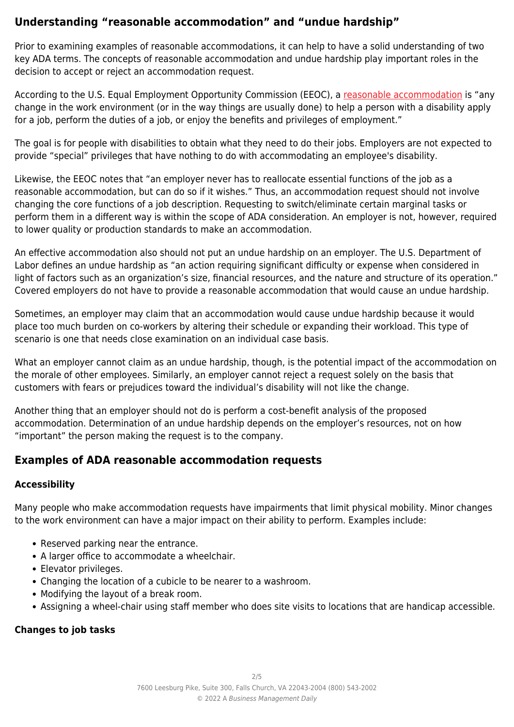# **Understanding "reasonable accommodation" and "undue hardship"**

Prior to examining examples of reasonable accommodations, it can help to have a solid understanding of two key ADA terms. The concepts of reasonable accommodation and undue hardship play important roles in the decision to accept or reject an accommodation request.

According to the U.S. Equal Employment Opportunity Commission (EEOC), a [reasonable accommodation](https://www.eeoc.gov/disability-discrimination) is "any change in the work environment (or in the way things are usually done) to help a person with a disability apply for a job, perform the duties of a job, or enjoy the benefits and privileges of employment."

The goal is for people with disabilities to obtain what they need to do their jobs. Employers are not expected to provide "special" privileges that have nothing to do with accommodating an employee's disability.

Likewise, the EEOC notes that "an employer never has to reallocate essential functions of the job as a reasonable accommodation, but can do so if it wishes." Thus, an accommodation request should not involve changing the core functions of a job description. Requesting to switch/eliminate certain marginal tasks or perform them in a different way is within the scope of ADA consideration. An employer is not, however, required to lower quality or production standards to make an accommodation.

An effective accommodation also should not put an undue hardship on an employer. The U.S. Department of Labor defines an undue hardship as "an action requiring significant difficulty or expense when considered in light of factors such as an organization's size, financial resources, and the nature and structure of its operation." Covered employers do not have to provide a reasonable accommodation that would cause an undue hardship.

Sometimes, an employer may claim that an accommodation would cause undue hardship because it would place too much burden on co-workers by altering their schedule or expanding their workload. This type of scenario is one that needs close examination on an individual case basis.

What an employer cannot claim as an undue hardship, though, is the potential impact of the accommodation on the morale of other employees. Similarly, an employer cannot reject a request solely on the basis that customers with fears or prejudices toward the individual's disability will not like the change.

Another thing that an employer should not do is perform a cost-benefit analysis of the proposed accommodation. Determination of an undue hardship depends on the employer's resources, not on how "important" the person making the request is to the company.

## **Examples of ADA reasonable accommodation requests**

#### **Accessibility**

Many people who make accommodation requests have impairments that limit physical mobility. Minor changes to the work environment can have a major impact on their ability to perform. Examples include:

- Reserved parking near the entrance.
- A larger office to accommodate a wheelchair.
- Elevator privileges.
- Changing the location of a cubicle to be nearer to a washroom.
- Modifying the layout of a break room.
- Assigning a wheel-chair using staff member who does site visits to locations that are handicap accessible.

#### **Changes to job tasks**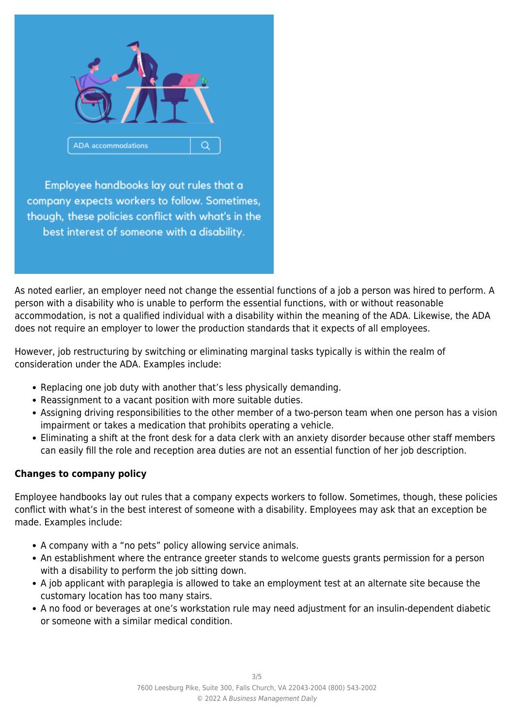

Employee handbooks lay out rules that a company expects workers to follow. Sometimes, though, these policies conflict with what's in the best interest of someone with a disability.

As noted earlier, an employer need not change the essential functions of a job a person was hired to perform. A person with a disability who is unable to perform the essential functions, with or without reasonable accommodation, is not a qualified individual with a disability within the meaning of the ADA. Likewise, the ADA does not require an employer to lower the production standards that it expects of all employees.

However, job restructuring by switching or eliminating marginal tasks typically is within the realm of consideration under the ADA. Examples include:

- Replacing one job duty with another that's less physically demanding.
- Reassignment to a vacant position with more suitable duties.
- Assigning driving responsibilities to the other member of a two-person team when one person has a vision impairment or takes a medication that prohibits operating a vehicle.
- Eliminating a shift at the front desk for a data clerk with an anxiety disorder because other staff members can easily fill the role and reception area duties are not an essential function of her job description.

### **Changes to company policy**

Employee handbooks lay out rules that a company expects workers to follow. Sometimes, though, these policies conflict with what's in the best interest of someone with a disability. Employees may ask that an exception be made. Examples include:

- A company with a "no pets" policy allowing service animals.
- An establishment where the entrance greeter stands to welcome guests grants permission for a person with a disability to perform the job sitting down.
- A job applicant with paraplegia is allowed to take an employment test at an alternate site because the customary location has too many stairs.
- A no food or beverages at one's workstation rule may need adjustment for an insulin-dependent diabetic or someone with a similar medical condition.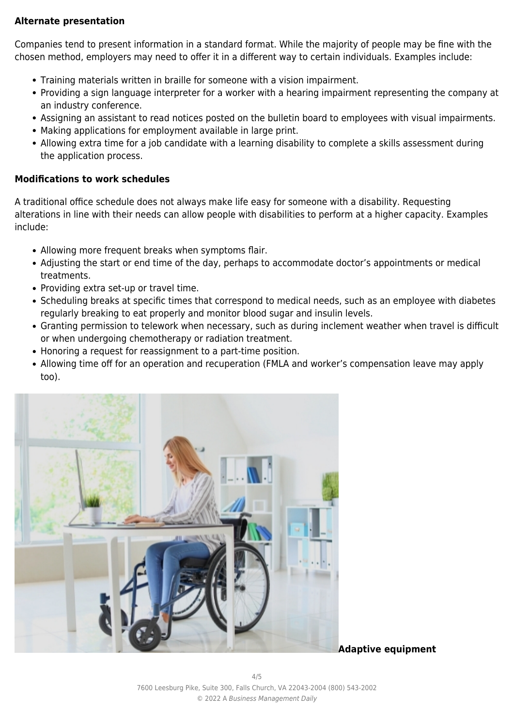#### **Alternate presentation**

Companies tend to present information in a standard format. While the majority of people may be fine with the chosen method, employers may need to offer it in a different way to certain individuals. Examples include:

- Training materials written in braille for someone with a vision impairment.
- Providing a sign language interpreter for a worker with a hearing impairment representing the company at an industry conference.
- Assigning an assistant to read notices posted on the bulletin board to employees with visual impairments.
- Making applications for employment available in large print.
- Allowing extra time for a job candidate with a learning disability to complete a skills assessment during the application process.

#### **Modifications to work schedules**

A traditional office schedule does not always make life easy for someone with a disability. Requesting alterations in line with their needs can allow people with disabilities to perform at a higher capacity. Examples include:

- Allowing more frequent breaks when symptoms flair.
- Adjusting the start or end time of the day, perhaps to accommodate doctor's appointments or medical treatments.
- Providing extra set-up or travel time.
- Scheduling breaks at specific times that correspond to medical needs, such as an employee with diabetes regularly breaking to eat properly and monitor blood sugar and insulin levels.
- Granting permission to telework when necessary, such as during inclement weather when travel is difficult or when undergoing chemotherapy or radiation treatment.
- Honoring a request for reassignment to a part-time position.
- Allowing time off for an operation and recuperation (FMLA and worker's compensation leave may apply too).



**Adaptive equipment**